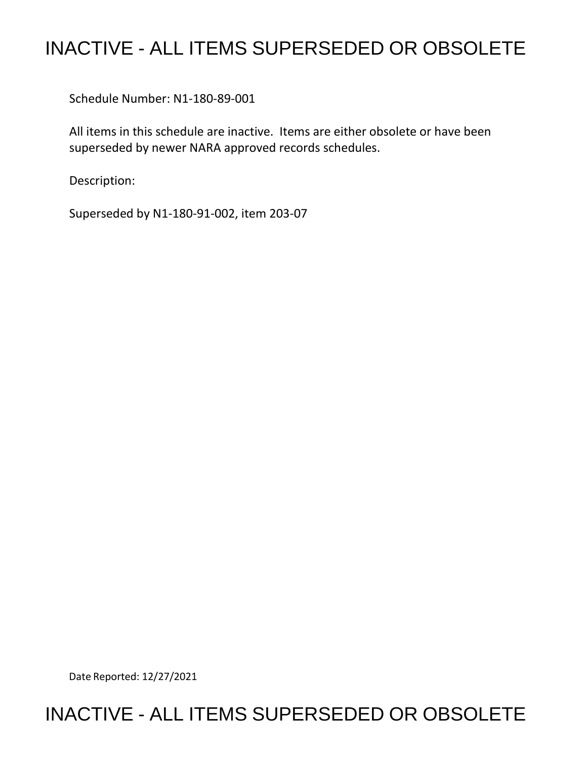## INACTIVE - ALL ITEMS SUPERSEDED OR OBSOLETE

Schedule Number: N1-180-89-001

All items in this schedule are inactive. Items are either obsolete or have been superseded by newer NARA approved records schedules.

Description:

Superseded by N1-180-91-002, item 203-07

Date Reported: 12/27/2021

## INACTIVE - ALL ITEMS SUPERSEDED OR OBSOLETE